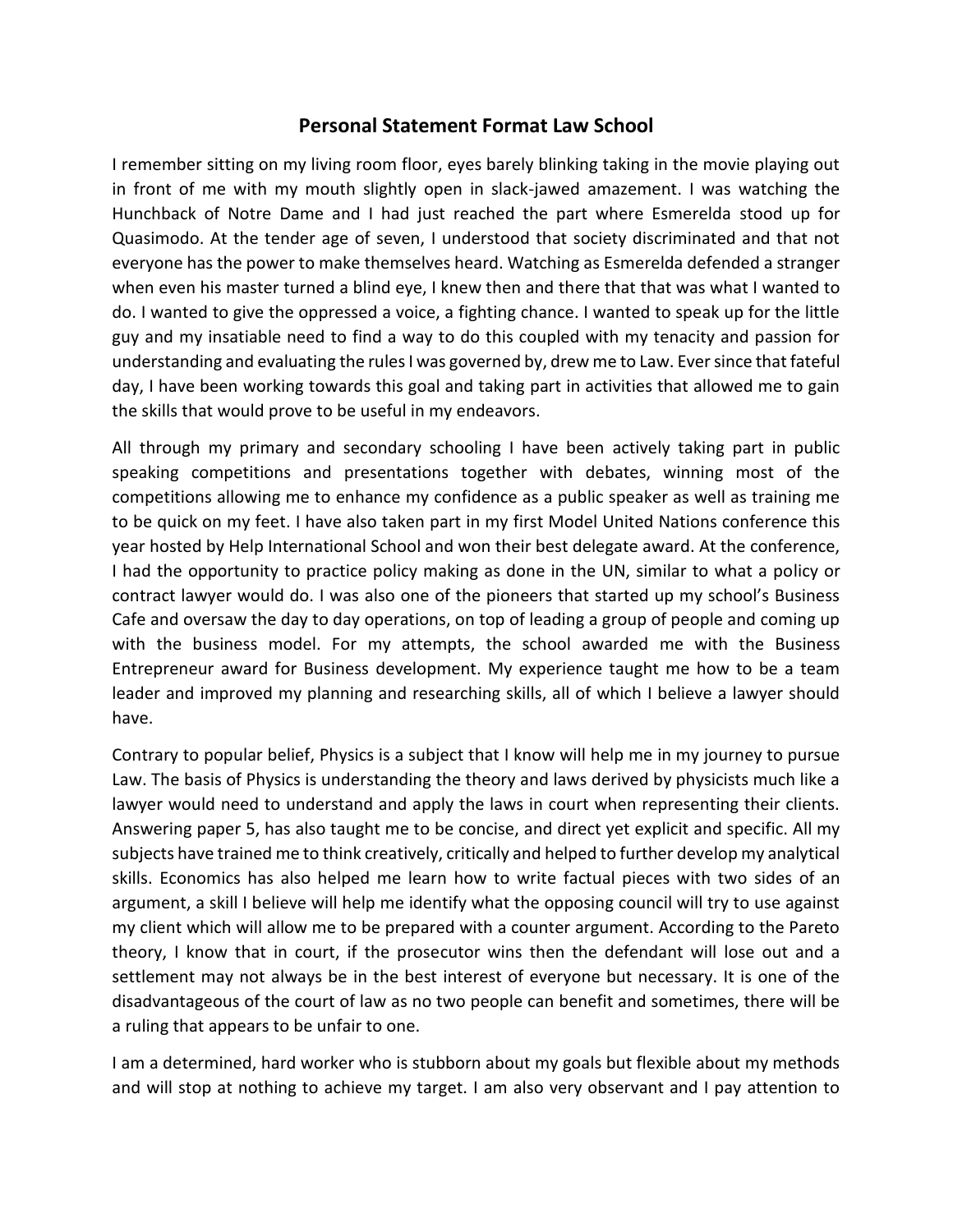## **Personal Statement Format Law School**

I remember sitting on my living room floor, eyes barely blinking taking in the movie playing out in front of me with my mouth slightly open in slack-jawed amazement. I was watching the Hunchback of Notre Dame and I had just reached the part where Esmerelda stood up for Quasimodo. At the tender age of seven, I understood that society discriminated and that not everyone has the power to make themselves heard. Watching as Esmerelda defended a stranger when even his master turned a blind eye, I knew then and there that that was what I wanted to do. I wanted to give the oppressed a voice, a fighting chance. I wanted to speak up for the little guy and my insatiable need to find a way to do this coupled with my tenacity and passion for understanding and evaluating the rules I was governed by, drew me to Law. Ever since that fateful day, I have been working towards this goal and taking part in activities that allowed me to gain the skills that would prove to be useful in my endeavors.

All through my primary and secondary schooling I have been actively taking part in public speaking competitions and presentations together with debates, winning most of the competitions allowing me to enhance my confidence as a public speaker as well as training me to be quick on my feet. I have also taken part in my first Model United Nations conference this year hosted by Help International School and won their best delegate award. At the conference, I had the opportunity to practice policy making as done in the UN, similar to what a policy or contract lawyer would do. I was also one of the pioneers that started up my school's Business Cafe and oversaw the day to day operations, on top of leading a group of people and coming up with the business model. For my attempts, the school awarded me with the Business Entrepreneur award for Business development. My experience taught me how to be a team leader and improved my planning and researching skills, all of which I believe a lawyer should have.

Contrary to popular belief, Physics is a subject that I know will help me in my journey to pursue Law. The basis of Physics is understanding the theory and laws derived by physicists much like a lawyer would need to understand and apply the laws in court when representing their clients. Answering paper 5, has also taught me to be concise, and direct yet explicit and specific. All my subjects have trained me to think creatively, critically and helped to further develop my analytical skills. Economics has also helped me learn how to write factual pieces with two sides of an argument, a skill I believe will help me identify what the opposing council will try to use against my client which will allow me to be prepared with a counter argument. According to the Pareto theory, I know that in court, if the prosecutor wins then the defendant will lose out and a settlement may not always be in the best interest of everyone but necessary. It is one of the disadvantageous of the court of law as no two people can benefit and sometimes, there will be a ruling that appears to be unfair to one.

I am a determined, hard worker who is stubborn about my goals but flexible about my methods and will stop at nothing to achieve my target. I am also very observant and I pay attention to